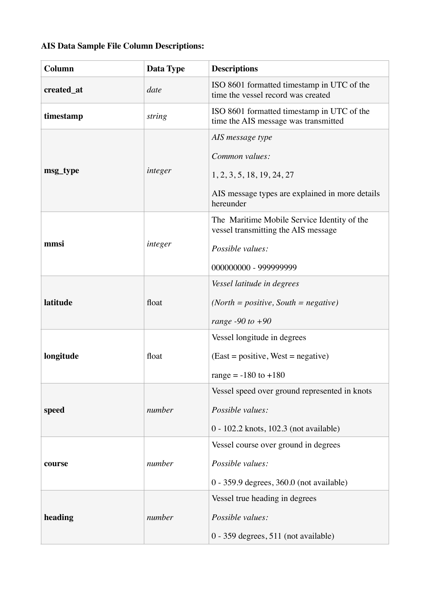### **AIS Data Sample File Column Descriptions:**

| Column     | Data Type | <b>Descriptions</b>                                                                                                              |
|------------|-----------|----------------------------------------------------------------------------------------------------------------------------------|
| created_at | date      | ISO 8601 formatted timestamp in UTC of the<br>time the vessel record was created                                                 |
| timestamp  | string    | ISO 8601 formatted timestamp in UTC of the<br>time the AIS message was transmitted                                               |
| msg_type   | integer   | AIS message type<br>Common values:<br>1, 2, 3, 5, 18, 19, 24, 27<br>AIS message types are explained in more details<br>hereunder |
| mmsi       | integer   | The Maritime Mobile Service Identity of the<br>vessel transmitting the AIS message<br>Possible values:<br>000000000 - 999999999  |
| latitude   | float     | Vessel latitude in degrees<br>$(North = positive, South = negative)$<br>range $-90$ to $+90$                                     |
| longitude  | float     | Vessel longitude in degrees<br>$(East = positive, West = negative)$<br>range = $-180$ to $+180$                                  |
| speed      | number    | Vessel speed over ground represented in knots<br>Possible values:<br>0 - 102.2 knots, 102.3 (not available)                      |
| course     | number    | Vessel course over ground in degrees<br>Possible values:<br>0 - 359.9 degrees, 360.0 (not available)                             |
| heading    | number    | Vessel true heading in degrees<br>Possible values:<br>0 - 359 degrees, 511 (not available)                                       |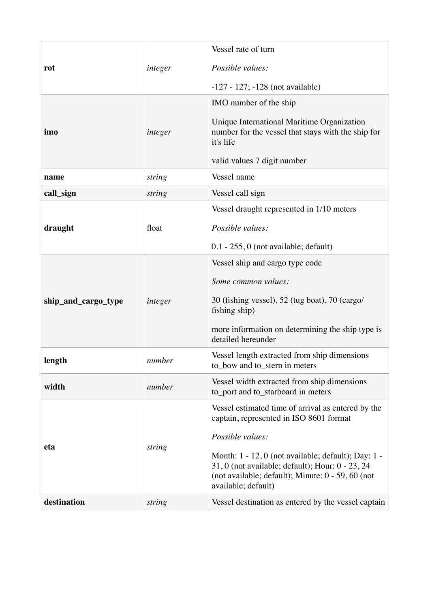| rot                 | integer | Vessel rate of turn                                                                                                                                                                 |
|---------------------|---------|-------------------------------------------------------------------------------------------------------------------------------------------------------------------------------------|
|                     |         | Possible values:                                                                                                                                                                    |
|                     |         | $-127 - 127$ ; $-128$ (not available)                                                                                                                                               |
| imo                 | integer | IMO number of the ship<br>Unique International Maritime Organization                                                                                                                |
|                     |         | number for the vessel that stays with the ship for<br>it's life                                                                                                                     |
|                     |         | valid values 7 digit number                                                                                                                                                         |
| name                | string  | Vessel name                                                                                                                                                                         |
| call_sign           | string  | Vessel call sign                                                                                                                                                                    |
| draught             | float   | Vessel draught represented in 1/10 meters                                                                                                                                           |
|                     |         | Possible values:                                                                                                                                                                    |
|                     |         | $0.1 - 255$ , 0 (not available; default)                                                                                                                                            |
| ship_and_cargo_type | integer | Vessel ship and cargo type code                                                                                                                                                     |
|                     |         | Some common values:                                                                                                                                                                 |
|                     |         | 30 (fishing vessel), 52 (tug boat), 70 (cargo/<br>fishing ship)                                                                                                                     |
|                     |         | more information on determining the ship type is                                                                                                                                    |
|                     |         | detailed hereunder                                                                                                                                                                  |
| length              | number  | Vessel length extracted from ship dimensions<br>to bow and to stern in meters                                                                                                       |
| width               | number  | Vessel width extracted from ship dimensions<br>to_port and to_starboard in meters                                                                                                   |
|                     |         | Vessel estimated time of arrival as entered by the<br>captain, represented in ISO 8601 format                                                                                       |
|                     |         | Possible values:                                                                                                                                                                    |
| eta                 | string  | Month: 1 - 12, 0 (not available; default); Day: 1 -<br>31, 0 (not available; default); Hour: 0 - 23, 24<br>(not available; default); Minute: 0 - 59, 60 (not<br>available; default) |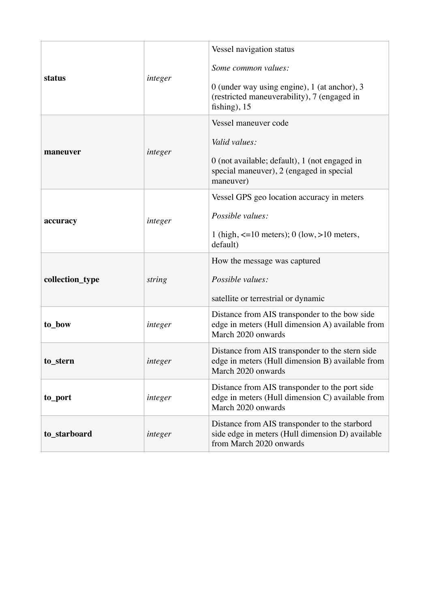| status          | integer | Vessel navigation status<br>Some common values:<br>0 (under way using engine), 1 (at anchor), 3<br>(restricted maneuverability), 7 (engaged in<br>fishing), $15$ |
|-----------------|---------|------------------------------------------------------------------------------------------------------------------------------------------------------------------|
| maneuver        | integer | Vessel maneuver code<br>Valid values:<br>0 (not available; default), 1 (not engaged in<br>special maneuver), 2 (engaged in special<br>maneuver)                  |
| accuracy        | integer | Vessel GPS geo location accuracy in meters<br>Possible values:<br>1 (high, $\leq 10$ meters); 0 (low, $>10$ meters,<br>default)                                  |
| collection_type | string  | How the message was captured<br>Possible values:<br>satellite or terrestrial or dynamic                                                                          |
| to_bow          | integer | Distance from AIS transponder to the bow side<br>edge in meters (Hull dimension A) available from<br>March 2020 onwards                                          |
| to stern        | integer | Distance from AIS transponder to the stern side<br>edge in meters (Hull dimension B) available from<br>March 2020 onwards                                        |
| to_port         | integer | Distance from AIS transponder to the port side<br>edge in meters (Hull dimension C) available from<br>March 2020 onwards                                         |
| to_starboard    | integer | Distance from AIS transponder to the starbord<br>side edge in meters (Hull dimension D) available<br>from March 2020 onwards                                     |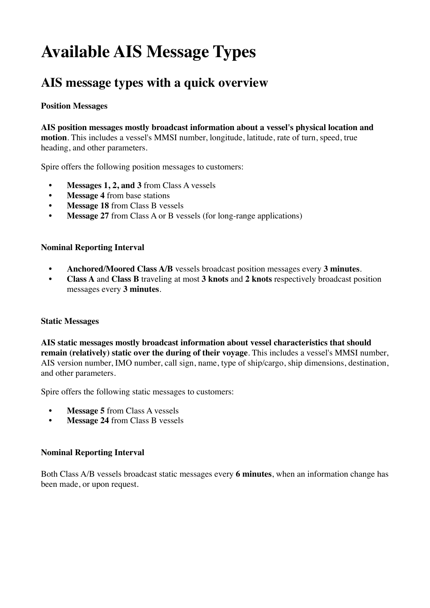# **Available AIS Message Types**

## **AIS message types with a quick overview**

#### **Position Messages**

**AIS position messages mostly broadcast information about a vessel's physical location and motion**. This includes a vessel's MMSI number, longitude, latitude, rate of turn, speed, true heading, and other parameters.

Spire offers the following position messages to customers:

- **• Messages 1, 2, and 3** from Class A vessels
- **• Message 4** from base stations
- **• Message 18** from Class B vessels
- **• Message 27** from Class A or B vessels (for long-range applications)

#### **Nominal Reporting Interval**

- **• Anchored/Moored Class A/B** vessels broadcast position messages every **3 minutes**.
- **• Class A** and **Class B** traveling at most **3 knots** and **2 knots** respectively broadcast position messages every **3 minutes**.

#### **Static Messages**

**AIS static messages mostly broadcast information about vessel characteristics that should remain (relatively) static over the during of their voyage**. This includes a vessel's MMSI number, AIS version number, IMO number, call sign, name, type of ship/cargo, ship dimensions, destination, and other parameters.

Spire offers the following static messages to customers:

- **• Message 5** from Class A vessels
- **• Message 24** from Class B vessels

#### **Nominal Reporting Interval**

Both Class A/B vessels broadcast static messages every **6 minutes**, when an information change has been made, or upon request.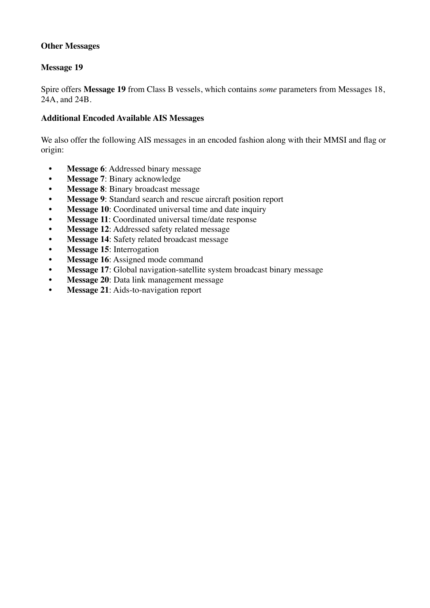#### **Other Messages**

#### **Message 19**

Spire offers **Message 19** from Class B vessels, which contains *some* parameters from Messages 18, 24A, and 24B.

#### **Additional Encoded Available AIS Messages**

We also offer the following AIS messages in an encoded fashion along with their MMSI and flag or origin:

- **• Message 6**: Addressed binary message
- **• Message 7**: Binary acknowledge
- **• Message 8**: Binary broadcast message
- **• Message 9**: Standard search and rescue aircraft position report
- **Message 10:** Coordinated universal time and date inquiry
- **• Message 11**: Coordinated universal time/date response
- **• Message 12**: Addressed safety related message
- **• Message 14**: Safety related broadcast message
- **• Message 15**: Interrogation
- **• Message 16**: Assigned mode command
- **• Message 17**: Global navigation-satellite system broadcast binary message
- **• Message 20**: Data link management message
- **• Message 21**: Aids-to-navigation report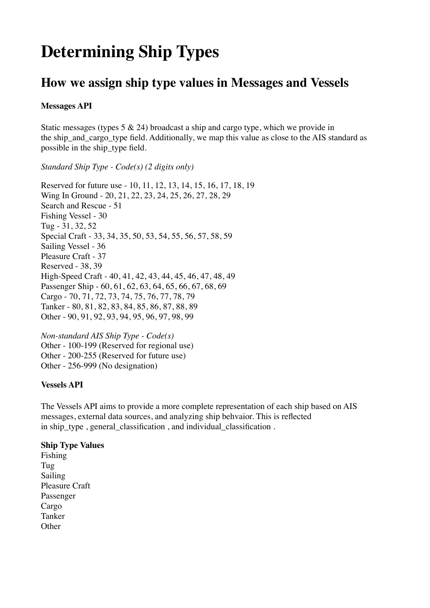# **Determining Ship Types**

### **How we assign ship type values in Messages and Vessels**

#### **Messages API**

Static messages (types  $5 \& 24$ ) broadcast a ship and cargo type, which we provide in the ship\_and\_cargo\_type field. Additionally, we map this value as close to the AIS standard as possible in the ship\_type field.

#### *Standard Ship Type - Code(s) (2 digits only)*

Reserved for future use - 10, 11, 12, 13, 14, 15, 16, 17, 18, 19 Wing In Ground - 20, 21, 22, 23, 24, 25, 26, 27, 28, 29 Search and Rescue - 51 Fishing Vessel - 30 Tug - 31, 32, 52 Special Craft - 33, 34, 35, 50, 53, 54, 55, 56, 57, 58, 59 Sailing Vessel - 36 Pleasure Craft - 37 Reserved - 38, 39 High-Speed Craft - 40, 41, 42, 43, 44, 45, 46, 47, 48, 49 Passenger Ship - 60, 61, 62, 63, 64, 65, 66, 67, 68, 69 Cargo - 70, 71, 72, 73, 74, 75, 76, 77, 78, 79 Tanker - 80, 81, 82, 83, 84, 85, 86, 87, 88, 89 Other - 90, 91, 92, 93, 94, 95, 96, 97, 98, 99

*Non-standard AIS Ship Type - Code(s)* Other - 100-199 (Reserved for regional use) Other - 200-255 (Reserved for future use) Other - 256-999 (No designation)

#### **Vessels API**

The Vessels API aims to provide a more complete representation of each ship based on AIS messages, external data sources, and analyzing ship behvaior. This is reflected in ship\_type , general\_classification , and individual\_classification .

#### **Ship Type Values**

Fishing Tug Sailing Pleasure Craft Passenger Cargo Tanker **Other**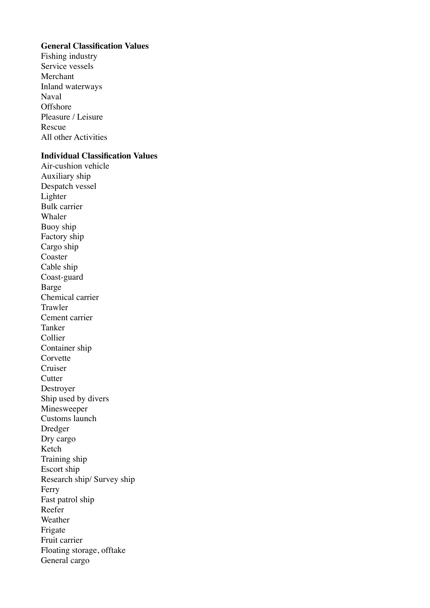#### **General Classification Values**

Fishing industry Service vessels Merchant Inland waterways Naval **Offshore** Pleasure / Leisure Rescue All other Activities

#### **Individual Classification Values**

Air-cushion vehicle Auxiliary ship Despatch vessel Lighter Bulk carrier Whaler Buoy ship Factory ship Cargo ship Coaster Cable ship Coast-guard Barge Chemical carrier Trawler Cement carrier Tanker Collier Container ship Corvette Cruiser **Cutter** Destroyer Ship used by divers Minesweeper Customs launch Dredger Dry cargo Ketch Training ship Escort ship Research ship/ Survey ship Ferry Fast patrol ship Reefer Weather Frigate Fruit carrier Floating storage, offtake General cargo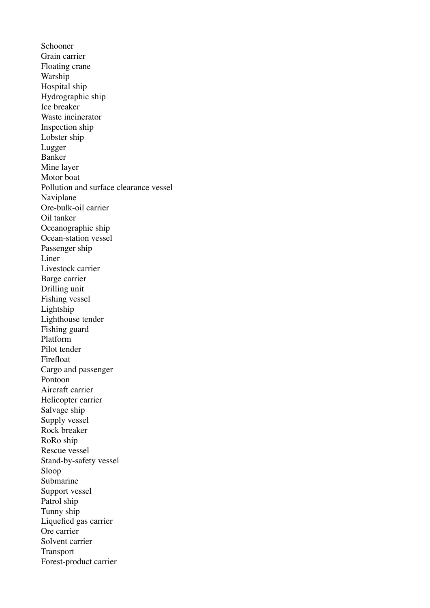Schooner Grain carrier Floating crane Warship Hospital ship Hydrographic ship Ice breaker Waste incinerator Inspection ship Lobster ship Lugger Banker Mine layer Motor boat Pollution and surface clearance vessel Naviplane Ore-bulk-oil carrier Oil tanker Oceanographic ship Ocean-station vessel Passenger ship Liner Livestock carrier Barge carrier Drilling unit Fishing vessel Lightship Lighthouse tender Fishing guard Platform Pilot tender Firefloat Cargo and passenger Pontoon Aircraft carrier Helicopter carrier Salvage ship Supply vessel Rock breaker RoRo ship Rescue vessel Stand-by-safety vessel Sloop Submarine Support vessel Patrol ship Tunny ship Liquefied gas carrier Ore carrier Solvent carrier Transport Forest-product carrier